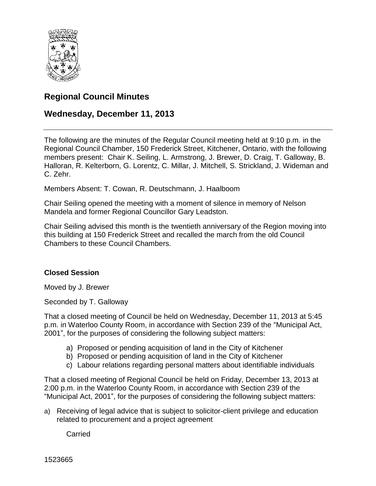

# **Regional Council Minutes**

## **Wednesday, December 11, 2013**

The following are the minutes of the Regular Council meeting held at 9:10 p.m. in the Regional Council Chamber, 150 Frederick Street, Kitchener, Ontario, with the following members present: Chair K. Seiling, L. Armstrong, J. Brewer, D. Craig, T. Galloway, B. Halloran, R. Kelterborn, G. Lorentz, C. Millar, J. Mitchell, S. Strickland, J. Wideman and C. Zehr.

Members Absent: T. Cowan, R. Deutschmann, J. Haalboom

Chair Seiling opened the meeting with a moment of silence in memory of Nelson Mandela and former Regional Councillor Gary Leadston.

Chair Seiling advised this month is the twentieth anniversary of the Region moving into this building at 150 Frederick Street and recalled the march from the old Council Chambers to these Council Chambers.

### **Closed Session**

Moved by J. Brewer

Seconded by T. Galloway

That a closed meeting of Council be held on Wednesday, December 11, 2013 at 5:45 p.m. in Waterloo County Room, in accordance with Section 239 of the "Municipal Act, 2001", for the purposes of considering the following subject matters:

- a) Proposed or pending acquisition of land in the City of Kitchener
- b) Proposed or pending acquisition of land in the City of Kitchener
- c) Labour relations regarding personal matters about identifiable individuals

That a closed meeting of Regional Council be held on Friday, December 13, 2013 at 2:00 p.m. in the Waterloo County Room, in accordance with Section 239 of the "Municipal Act, 2001", for the purposes of considering the following subject matters:

a) Receiving of legal advice that is subject to solicitor-client privilege and education related to procurement and a project agreement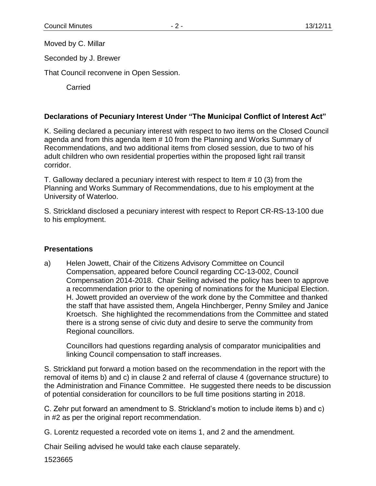Moved by C. Millar

Seconded by J. Brewer

That Council reconvene in Open Session.

Carried

### **Declarations of Pecuniary Interest Under "The Municipal Conflict of Interest Act"**

K. Seiling declared a pecuniary interest with respect to two items on the Closed Council agenda and from this agenda Item # 10 from the Planning and Works Summary of Recommendations, and two additional items from closed session, due to two of his adult children who own residential properties within the proposed light rail transit corridor.

T. Galloway declared a pecuniary interest with respect to Item # 10 (3) from the Planning and Works Summary of Recommendations, due to his employment at the University of Waterloo.

S. Strickland disclosed a pecuniary interest with respect to Report CR-RS-13-100 due to his employment.

#### **Presentations**

a) Helen Jowett, Chair of the Citizens Advisory Committee on Council Compensation, appeared before Council regarding CC-13-002, Council Compensation 2014-2018. Chair Seiling advised the policy has been to approve a recommendation prior to the opening of nominations for the Municipal Election. H. Jowett provided an overview of the work done by the Committee and thanked the staff that have assisted them, Angela Hinchberger, Penny Smiley and Janice Kroetsch. She highlighted the recommendations from the Committee and stated there is a strong sense of civic duty and desire to serve the community from Regional councillors.

Councillors had questions regarding analysis of comparator municipalities and linking Council compensation to staff increases.

S. Strickland put forward a motion based on the recommendation in the report with the removal of items b) and c) in clause 2 and referral of clause 4 (governance structure) to the Administration and Finance Committee. He suggested there needs to be discussion of potential consideration for councillors to be full time positions starting in 2018.

C. Zehr put forward an amendment to S. Strickland's motion to include items b) and c) in #2 as per the original report recommendation.

G. Lorentz requested a recorded vote on items 1, and 2 and the amendment.

Chair Seiling advised he would take each clause separately.

1523665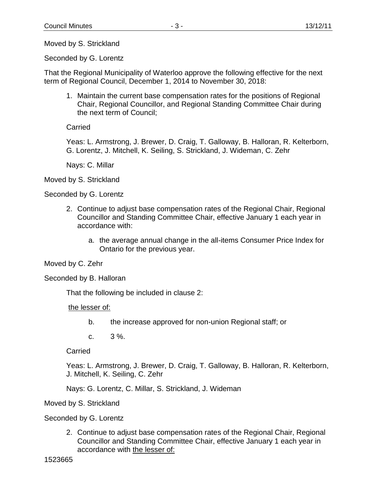Moved by S. Strickland

Seconded by G. Lorentz

That the Regional Municipality of Waterloo approve the following effective for the next term of Regional Council, December 1, 2014 to November 30, 2018:

1. Maintain the current base compensation rates for the positions of Regional Chair, Regional Councillor, and Regional Standing Committee Chair during the next term of Council;

**Carried** 

Yeas: L. Armstrong, J. Brewer, D. Craig, T. Galloway, B. Halloran, R. Kelterborn, G. Lorentz, J. Mitchell, K. Seiling, S. Strickland, J. Wideman, C. Zehr

Nays: C. Millar

Moved by S. Strickland

Seconded by G. Lorentz

- 2. Continue to adjust base compensation rates of the Regional Chair, Regional Councillor and Standing Committee Chair, effective January 1 each year in accordance with:
	- a. the average annual change in the all-items Consumer Price Index for Ontario for the previous year.

Moved by C. Zehr

Seconded by B. Halloran

That the following be included in clause 2:

the lesser of:

- b. the increase approved for non-union Regional staff; or
- c.  $3\%$ .

Carried

Yeas: L. Armstrong, J. Brewer, D. Craig, T. Galloway, B. Halloran, R. Kelterborn, J. Mitchell, K. Seiling, C. Zehr

Nays: G. Lorentz, C. Millar, S. Strickland, J. Wideman

Moved by S. Strickland

Seconded by G. Lorentz

2. Continue to adjust base compensation rates of the Regional Chair, Regional Councillor and Standing Committee Chair, effective January 1 each year in accordance with the lesser of: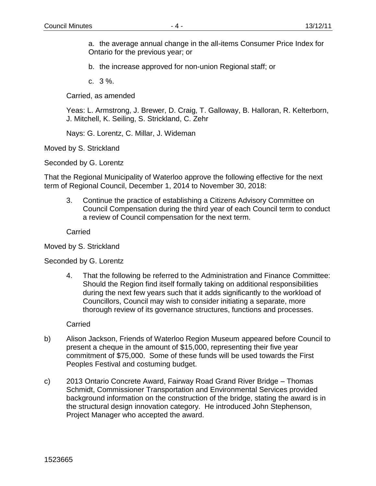a. the average annual change in the all-items Consumer Price Index for Ontario for the previous year; or

b. the increase approved for non-union Regional staff; or

c. 3 %.

Carried, as amended

Yeas: L. Armstrong, J. Brewer, D. Craig, T. Galloway, B. Halloran, R. Kelterborn, J. Mitchell, K. Seiling, S. Strickland, C. Zehr

Nays: G. Lorentz, C. Millar, J. Wideman

Moved by S. Strickland

Seconded by G. Lorentz

That the Regional Municipality of Waterloo approve the following effective for the next term of Regional Council, December 1, 2014 to November 30, 2018:

3. Continue the practice of establishing a Citizens Advisory Committee on Council Compensation during the third year of each Council term to conduct a review of Council compensation for the next term.

**Carried** 

Moved by S. Strickland

Seconded by G. Lorentz

4. That the following be referred to the Administration and Finance Committee: Should the Region find itself formally taking on additional responsibilities during the next few years such that it adds significantly to the workload of Councillors, Council may wish to consider initiating a separate, more thorough review of its governance structures, functions and processes.

- b) Alison Jackson, Friends of Waterloo Region Museum appeared before Council to present a cheque in the amount of \$15,000, representing their five year commitment of \$75,000. Some of these funds will be used towards the First Peoples Festival and costuming budget.
- c) 2013 Ontario Concrete Award, Fairway Road Grand River Bridge Thomas Schmidt, Commissioner Transportation and Environmental Services provided background information on the construction of the bridge, stating the award is in the structural design innovation category. He introduced John Stephenson, Project Manager who accepted the award.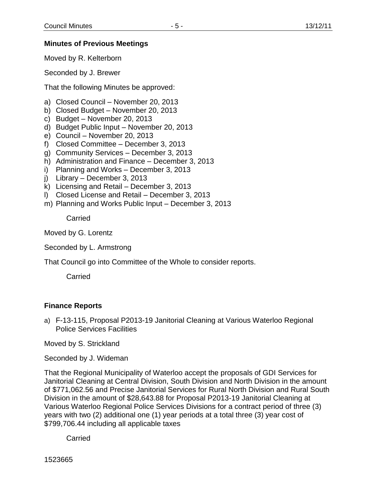#### **Minutes of Previous Meetings**

Moved by R. Kelterborn

Seconded by J. Brewer

That the following Minutes be approved:

- a) Closed Council November 20, 2013
- b) Closed Budget November 20, 2013
- c) Budget November 20, 2013
- d) Budget Public Input November 20, 2013
- e) Council November 20, 2013
- f) Closed Committee December 3, 2013
- g) Community Services December 3, 2013
- h) Administration and Finance December 3, 2013
- i) Planning and Works December 3, 2013
- j) Library December 3, 2013
- k) Licensing and Retail December 3, 2013
- l) Closed License and Retail December 3, 2013
- m) Planning and Works Public Input December 3, 2013

**Carried** 

Moved by G. Lorentz

Seconded by L. Armstrong

That Council go into Committee of the Whole to consider reports.

Carried

### **Finance Reports**

a) F-13-115, Proposal P2013-19 Janitorial Cleaning at Various Waterloo Regional Police Services Facilities

Moved by S. Strickland

Seconded by J. Wideman

That the Regional Municipality of Waterloo accept the proposals of GDI Services for Janitorial Cleaning at Central Division, South Division and North Division in the amount of \$771,062.56 and Precise Janitorial Services for Rural North Division and Rural South Division in the amount of \$28,643.88 for Proposal P2013-19 Janitorial Cleaning at Various Waterloo Regional Police Services Divisions for a contract period of three (3) years with two (2) additional one (1) year periods at a total three (3) year cost of \$799,706.44 including all applicable taxes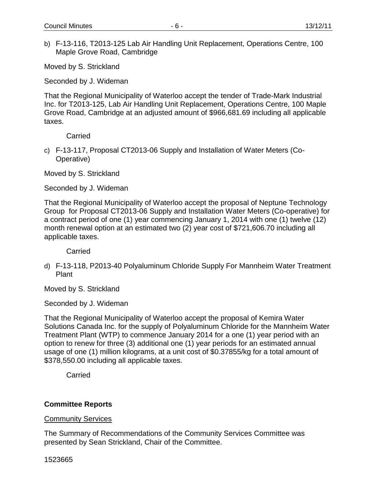b) F-13-116, T2013-125 Lab Air Handling Unit Replacement, Operations Centre, 100 Maple Grove Road, Cambridge

Moved by S. Strickland

Seconded by J. Wideman

That the Regional Municipality of Waterloo accept the tender of Trade-Mark Industrial Inc. for T2013-125, Lab Air Handling Unit Replacement, Operations Centre, 100 Maple Grove Road, Cambridge at an adjusted amount of \$966,681.69 including all applicable taxes.

**Carried** 

c) F-13-117, Proposal CT2013-06 Supply and Installation of Water Meters (Co-Operative)

Moved by S. Strickland

Seconded by J. Wideman

That the Regional Municipality of Waterloo accept the proposal of Neptune Technology Group for Proposal CT2013-06 Supply and Installation Water Meters (Co-operative) for a contract period of one (1) year commencing January 1, 2014 with one (1) twelve (12) month renewal option at an estimated two (2) year cost of \$721,606.70 including all applicable taxes.

**Carried** 

d) F-13-118, P2013-40 Polyaluminum Chloride Supply For Mannheim Water Treatment Plant

Moved by S. Strickland

Seconded by J. Wideman

That the Regional Municipality of Waterloo accept the proposal of Kemira Water Solutions Canada Inc. for the supply of Polyaluminum Chloride for the Mannheim Water Treatment Plant (WTP) to commence January 2014 for a one (1) year period with an option to renew for three (3) additional one (1) year periods for an estimated annual usage of one (1) million kilograms, at a unit cost of \$0.37855/kg for a total amount of \$378,550.00 including all applicable taxes.

**Carried** 

#### **Committee Reports**

Community Services

The Summary of Recommendations of the Community Services Committee was presented by Sean Strickland, Chair of the Committee.

1523665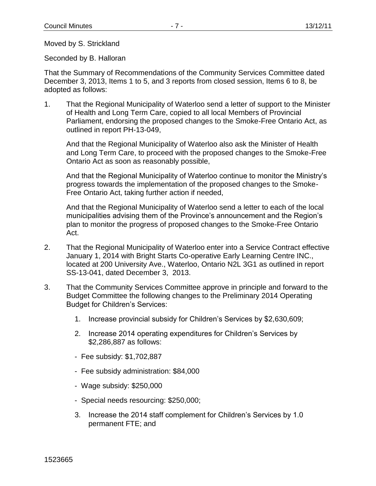Moved by S. Strickland

Seconded by B. Halloran

That the Summary of Recommendations of the Community Services Committee dated December 3, 2013, Items 1 to 5, and 3 reports from closed session, Items 6 to 8, be adopted as follows:

1. That the Regional Municipality of Waterloo send a letter of support to the Minister of Health and Long Term Care, copied to all local Members of Provincial Parliament, endorsing the proposed changes to the Smoke-Free Ontario Act, as outlined in report PH-13-049,

And that the Regional Municipality of Waterloo also ask the Minister of Health and Long Term Care, to proceed with the proposed changes to the Smoke-Free Ontario Act as soon as reasonably possible,

And that the Regional Municipality of Waterloo continue to monitor the Ministry's progress towards the implementation of the proposed changes to the Smoke-Free Ontario Act, taking further action if needed,

And that the Regional Municipality of Waterloo send a letter to each of the local municipalities advising them of the Province's announcement and the Region's plan to monitor the progress of proposed changes to the Smoke-Free Ontario Act.

- 2. That the Regional Municipality of Waterloo enter into a Service Contract effective January 1, 2014 with Bright Starts Co-operative Early Learning Centre INC., located at 200 University Ave., Waterloo, Ontario N2L 3G1 as outlined in report SS-13-041, dated December 3, 2013.
- 3. That the Community Services Committee approve in principle and forward to the Budget Committee the following changes to the Preliminary 2014 Operating Budget for Children's Services:
	- 1. Increase provincial subsidy for Children's Services by \$2,630,609;
	- 2. Increase 2014 operating expenditures for Children's Services by \$2,286,887 as follows:
	- Fee subsidy: \$1,702,887
	- Fee subsidy administration: \$84,000
	- Wage subsidy: \$250,000
	- Special needs resourcing: \$250,000;
	- 3. Increase the 2014 staff complement for Children's Services by 1.0 permanent FTE; and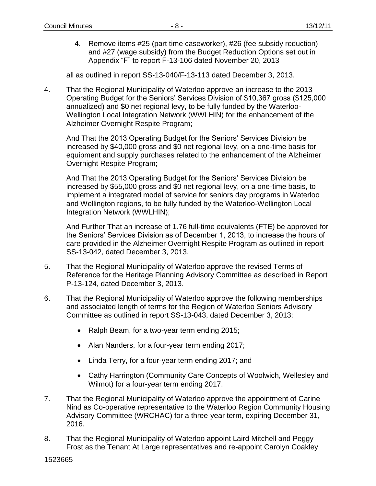4. Remove items #25 (part time caseworker), #26 (fee subsidy reduction) and #27 (wage subsidy) from the Budget Reduction Options set out in Appendix "F" to report F-13-106 dated November 20, 2013

all as outlined in report SS-13-040/F-13-113 dated December 3, 2013.

4. That the Regional Municipality of Waterloo approve an increase to the 2013 Operating Budget for the Seniors' Services Division of \$10,367 gross (\$125,000 annualized) and \$0 net regional levy, to be fully funded by the Waterloo-Wellington Local Integration Network (WWLHIN) for the enhancement of the Alzheimer Overnight Respite Program;

And That the 2013 Operating Budget for the Seniors' Services Division be increased by \$40,000 gross and \$0 net regional levy, on a one-time basis for equipment and supply purchases related to the enhancement of the Alzheimer Overnight Respite Program;

And That the 2013 Operating Budget for the Seniors' Services Division be increased by \$55,000 gross and \$0 net regional levy, on a one-time basis, to implement a integrated model of service for seniors day programs in Waterloo and Wellington regions, to be fully funded by the Waterloo-Wellington Local Integration Network (WWLHIN);

And Further That an increase of 1.76 full-time equivalents (FTE) be approved for the Seniors' Services Division as of December 1, 2013, to increase the hours of care provided in the Alzheimer Overnight Respite Program as outlined in report SS-13-042, dated December 3, 2013.

- 5. That the Regional Municipality of Waterloo approve the revised Terms of Reference for the Heritage Planning Advisory Committee as described in Report P-13-124, dated December 3, 2013.
- 6. That the Regional Municipality of Waterloo approve the following memberships and associated length of terms for the Region of Waterloo Seniors Advisory Committee as outlined in report SS-13-043, dated December 3, 2013:
	- Ralph Beam, for a two-year term ending 2015;
	- Alan Nanders, for a four-year term ending 2017;
	- Linda Terry, for a four-year term ending 2017; and
	- Cathy Harrington (Community Care Concepts of Woolwich, Wellesley and Wilmot) for a four-year term ending 2017.
- 7. That the Regional Municipality of Waterloo approve the appointment of Carine Nind as Co-operative representative to the Waterloo Region Community Housing Advisory Committee (WRCHAC) for a three-year term, expiring December 31, 2016.
- 8. That the Regional Municipality of Waterloo appoint Laird Mitchell and Peggy Frost as the Tenant At Large representatives and re-appoint Carolyn Coakley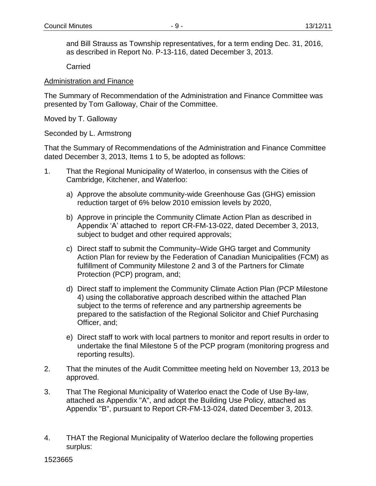and Bill Strauss as Township representatives, for a term ending Dec. 31, 2016, as described in Report No. P-13-116, dated December 3, 2013.

**Carried** 

### Administration and Finance

The Summary of Recommendation of the Administration and Finance Committee was presented by Tom Galloway, Chair of the Committee.

Moved by T. Galloway

Seconded by L. Armstrong

That the Summary of Recommendations of the Administration and Finance Committee dated December 3, 2013, Items 1 to 5, be adopted as follows:

- 1. That the Regional Municipality of Waterloo, in consensus with the Cities of Cambridge, Kitchener, and Waterloo:
	- a) Approve the absolute community-wide Greenhouse Gas (GHG) emission reduction target of 6% below 2010 emission levels by 2020,
	- b) Approve in principle the Community Climate Action Plan as described in Appendix 'A' attached to report CR-FM-13-022, dated December 3, 2013, subject to budget and other required approvals;
	- c) Direct staff to submit the Community–Wide GHG target and Community Action Plan for review by the Federation of Canadian Municipalities (FCM) as fulfillment of Community Milestone 2 and 3 of the Partners for Climate Protection (PCP) program, and;
	- d) Direct staff to implement the Community Climate Action Plan (PCP Milestone 4) using the collaborative approach described within the attached Plan subject to the terms of reference and any partnership agreements be prepared to the satisfaction of the Regional Solicitor and Chief Purchasing Officer, and;
	- e) Direct staff to work with local partners to monitor and report results in order to undertake the final Milestone 5 of the PCP program (monitoring progress and reporting results).
- 2. That the minutes of the Audit Committee meeting held on November 13, 2013 be approved.
- 3. That The Regional Municipality of Waterloo enact the Code of Use By-law, attached as Appendix "A", and adopt the Building Use Policy, attached as Appendix "B", pursuant to Report CR-FM-13-024, dated December 3, 2013.
- 4. THAT the Regional Municipality of Waterloo declare the following properties surplus: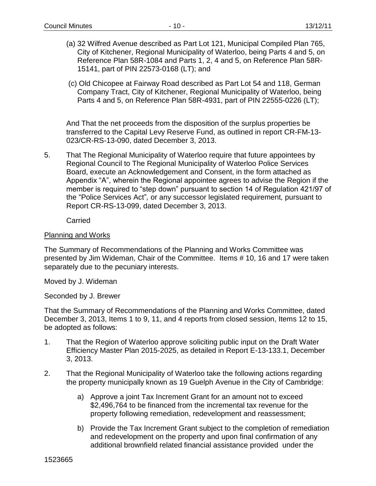- (a) 32 Wilfred Avenue described as Part Lot 121, Municipal Compiled Plan 765, City of Kitchener, Regional Municipality of Waterloo, being Parts 4 and 5, on Reference Plan 58R-1084 and Parts 1, 2, 4 and 5, on Reference Plan 58R-15141, part of PIN 22573-0168 (LT); and
- (c) Old Chicopee at Fairway Road described as Part Lot 54 and 118, German Company Tract, City of Kitchener, Regional Municipality of Waterloo, being Parts 4 and 5, on Reference Plan 58R-4931, part of PIN 22555-0226 (LT);

And That the net proceeds from the disposition of the surplus properties be transferred to the Capital Levy Reserve Fund, as outlined in report CR-FM-13- 023/CR-RS-13-090, dated December 3, 2013.

5. That The Regional Municipality of Waterloo require that future appointees by Regional Council to The Regional Municipality of Waterloo Police Services Board, execute an Acknowledgement and Consent, in the form attached as Appendix "A", wherein the Regional appointee agrees to advise the Region if the member is required to "step down" pursuant to section 14 of Regulation 421/97 of the "Police Services Act"*,* or any successor legislated requirement*,* pursuant to Report CR-RS-13-099, dated December 3, 2013.

Carried

#### Planning and Works

The Summary of Recommendations of the Planning and Works Committee was presented by Jim Wideman, Chair of the Committee. Items # 10, 16 and 17 were taken separately due to the pecuniary interests.

Moved by J. Wideman

Seconded by J. Brewer

That the Summary of Recommendations of the Planning and Works Committee, dated December 3, 2013, Items 1 to 9, 11, and 4 reports from closed session, Items 12 to 15, be adopted as follows:

- 1. That the Region of Waterloo approve soliciting public input on the Draft Water Efficiency Master Plan 2015-2025, as detailed in Report E-13-133.1, December 3, 2013.
- 2. That the Regional Municipality of Waterloo take the following actions regarding the property municipally known as 19 Guelph Avenue in the City of Cambridge:
	- a) Approve a joint Tax Increment Grant for an amount not to exceed \$2,496,764 to be financed from the incremental tax revenue for the property following remediation, redevelopment and reassessment;
	- b) Provide the Tax Increment Grant subject to the completion of remediation and redevelopment on the property and upon final confirmation of any additional brownfield related financial assistance provided under the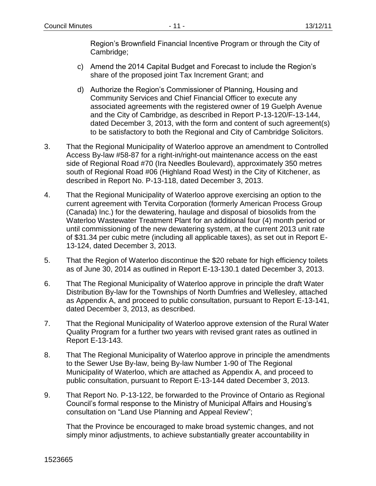Region's Brownfield Financial Incentive Program or through the City of Cambridge;

- c) Amend the 2014 Capital Budget and Forecast to include the Region's share of the proposed joint Tax Increment Grant; and
- d) Authorize the Region's Commissioner of Planning, Housing and Community Services and Chief Financial Officer to execute any associated agreements with the registered owner of 19 Guelph Avenue and the City of Cambridge, as described in Report P-13-120/F-13-144, dated December 3, 2013, with the form and content of such agreement(s) to be satisfactory to both the Regional and City of Cambridge Solicitors.
- 3. That the Regional Municipality of Waterloo approve an amendment to Controlled Access By-law #58-87 for a right-in/right-out maintenance access on the east side of Regional Road #70 (Ira Needles Boulevard), approximately 350 metres south of Regional Road #06 (Highland Road West) in the City of Kitchener, as described in Report No. P-13-118, dated December 3, 2013.
- 4. That the Regional Municipality of Waterloo approve exercising an option to the current agreement with Tervita Corporation (formerly American Process Group (Canada) Inc.) for the dewatering, haulage and disposal of biosolids from the Waterloo Wastewater Treatment Plant for an additional four (4) month period or until commissioning of the new dewatering system, at the current 2013 unit rate of \$31.34 per cubic metre (including all applicable taxes), as set out in Report E-13-124, dated December 3, 2013.
- 5. That the Region of Waterloo discontinue the \$20 rebate for high efficiency toilets as of June 30, 2014 as outlined in Report E-13-130.1 dated December 3, 2013.
- 6. That The Regional Municipality of Waterloo approve in principle the draft Water Distribution By-law for the Townships of North Dumfries and Wellesley, attached as Appendix A, and proceed to public consultation, pursuant to Report E-13-141, dated December 3, 2013, as described.
- 7. That the Regional Municipality of Waterloo approve extension of the Rural Water Quality Program for a further two years with revised grant rates as outlined in Report E-13-143.
- 8. That The Regional Municipality of Waterloo approve in principle the amendments to the Sewer Use By-law, being By-law Number 1-90 of The Regional Municipality of Waterloo, which are attached as Appendix A, and proceed to public consultation, pursuant to Report E-13-144 dated December 3, 2013.
- 9. That Report No. P-13-122, be forwarded to the Province of Ontario as Regional Council's formal response to the Ministry of Municipal Affairs and Housing's consultation on "Land Use Planning and Appeal Review";

That the Province be encouraged to make broad systemic changes, and not simply minor adjustments, to achieve substantially greater accountability in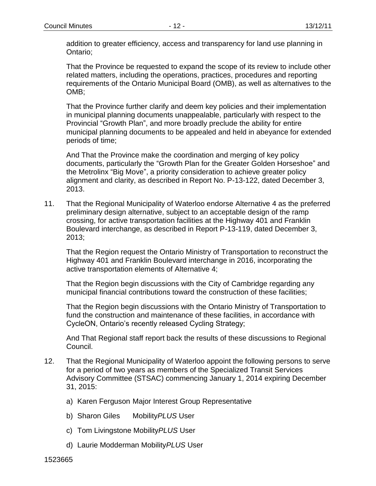addition to greater efficiency, access and transparency for land use planning in Ontario;

That the Province be requested to expand the scope of its review to include other related matters, including the operations, practices, procedures and reporting requirements of the Ontario Municipal Board (OMB), as well as alternatives to the OMB;

That the Province further clarify and deem key policies and their implementation in municipal planning documents unappealable, particularly with respect to the Provincial "Growth Plan", and more broadly preclude the ability for entire municipal planning documents to be appealed and held in abeyance for extended periods of time;

And That the Province make the coordination and merging of key policy documents, particularly the "Growth Plan for the Greater Golden Horseshoe" and the Metrolinx "Big Move", a priority consideration to achieve greater policy alignment and clarity, as described in Report No. P-13-122, dated December 3, 2013.

11. That the Regional Municipality of Waterloo endorse Alternative 4 as the preferred preliminary design alternative, subject to an acceptable design of the ramp crossing, for active transportation facilities at the Highway 401 and Franklin Boulevard interchange, as described in Report P-13-119, dated December 3, 2013;

That the Region request the Ontario Ministry of Transportation to reconstruct the Highway 401 and Franklin Boulevard interchange in 2016, incorporating the active transportation elements of Alternative 4;

That the Region begin discussions with the City of Cambridge regarding any municipal financial contributions toward the construction of these facilities;

That the Region begin discussions with the Ontario Ministry of Transportation to fund the construction and maintenance of these facilities, in accordance with CycleON, Ontario's recently released Cycling Strategy;

And That Regional staff report back the results of these discussions to Regional Council.

- 12. That the Regional Municipality of Waterloo appoint the following persons to serve for a period of two years as members of the Specialized Transit Services Advisory Committee (STSAC) commencing January 1, 2014 expiring December 31, 2015:
	- a) Karen Ferguson Major Interest Group Representative
	- b) Sharon Giles Mobility*PLUS* User
	- c) Tom Livingstone Mobility*PLUS* User
	- d) Laurie Modderman Mobility*PLUS* User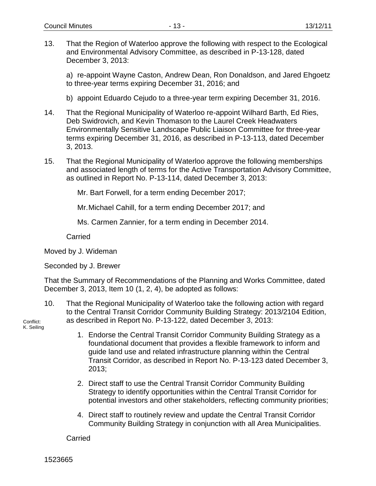13. That the Region of Waterloo approve the following with respect to the Ecological and Environmental Advisory Committee, as described in P-13-128, dated December 3, 2013:

a) re-appoint Wayne Caston, Andrew Dean, Ron Donaldson, and Jared Ehgoetz to three-year terms expiring December 31, 2016; and

- b) appoint Eduardo Cejudo to a three-year term expiring December 31, 2016.
- 14. That the Regional Municipality of Waterloo re-appoint Wilhard Barth, Ed Ries, Deb Swidrovich, and Kevin Thomason to the Laurel Creek Headwaters Environmentally Sensitive Landscape Public Liaison Committee for three-year terms expiring December 31, 2016, as described in P-13-113, dated December 3, 2013.
- 15. That the Regional Municipality of Waterloo approve the following memberships and associated length of terms for the Active Transportation Advisory Committee, as outlined in Report No. P-13-114, dated December 3, 2013:

Mr. Bart Forwell, for a term ending December 2017;

Mr.Michael Cahill, for a term ending December 2017; and

Ms. Carmen Zannier, for a term ending in December 2014.

Carried

Moved by J. Wideman

Seconded by J. Brewer

That the Summary of Recommendations of the Planning and Works Committee, dated December 3, 2013, Item 10 (1, 2, 4), be adopted as follows:

10. That the Regional Municipality of Waterloo take the following action with regard to the Central Transit Corridor Community Building Strategy: 2013/2104 Edition, as described in Report No. P-13-122, dated December 3, 2013:

Conflict: K. Seiling

- 1. Endorse the Central Transit Corridor Community Building Strategy as a foundational document that provides a flexible framework to inform and guide land use and related infrastructure planning within the Central Transit Corridor, as described in Report No. P-13-123 dated December 3, 2013;
- 2. Direct staff to use the Central Transit Corridor Community Building Strategy to identify opportunities within the Central Transit Corridor for potential investors and other stakeholders, reflecting community priorities;
- 4. Direct staff to routinely review and update the Central Transit Corridor Community Building Strategy in conjunction with all Area Municipalities.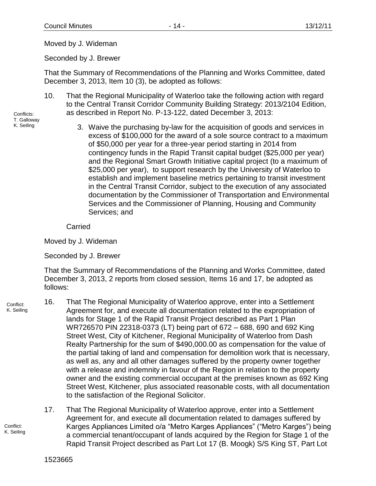Moved by J. Wideman

Seconded by J. Brewer

That the Summary of Recommendations of the Planning and Works Committee, dated December 3, 2013, Item 10 (3), be adopted as follows:

10. That the Regional Municipality of Waterloo take the following action with regard to the Central Transit Corridor Community Building Strategy: 2013/2104 Edition, as described in Report No. P-13-122, dated December 3, 2013:

Conflicts: T. Galloway K. Seiling

3. Waive the purchasing by-law for the acquisition of goods and services in excess of \$100,000 for the award of a sole source contract to a maximum of \$50,000 per year for a three-year period starting in 2014 from contingency funds in the Rapid Transit capital budget (\$25,000 per year) and the Regional Smart Growth Initiative capital project (to a maximum of \$25,000 per year), to support research by the University of Waterloo to establish and implement baseline metrics pertaining to transit investment in the Central Transit Corridor, subject to the execution of any associated documentation by the Commissioner of Transportation and Environmental Services and the Commissioner of Planning, Housing and Community Services; and

Carried

Moved by J. Wideman

Seconded by J. Brewer

That the Summary of Recommendations of the Planning and Works Committee, dated December 3, 2013, 2 reports from closed session, Items 16 and 17, be adopted as follows:

- Conflict: K. Seiling 16. That The Regional Municipality of Waterloo approve, enter into a Settlement Agreement for, and execute all documentation related to the expropriation of lands for Stage 1 of the Rapid Transit Project described as Part 1 Plan WR726570 PIN 22318-0373 (LT) being part of 672 – 688, 690 and 692 King Street West, City of Kitchener, Regional Municipality of Waterloo from Dash Realty Partnership for the sum of \$490,000.00 as compensation for the value of the partial taking of land and compensation for demolition work that is necessary, as well as, any and all other damages suffered by the property owner together with a release and indemnity in favour of the Region in relation to the property owner and the existing commercial occupant at the premises known as 692 King Street West, Kitchener, plus associated reasonable costs, with all documentation to the satisfaction of the Regional Solicitor.
	- 17. That The Regional Municipality of Waterloo approve, enter into a Settlement Agreement for, and execute all documentation related to damages suffered by Karges Appliances Limited o/a "Metro Karges Appliances" ("Metro Karges") being a commercial tenant/occupant of lands acquired by the Region for Stage 1 of the Rapid Transit Project described as Part Lot 17 (B. Moogk) S/S King ST, Part Lot

Conflict: K. Seiling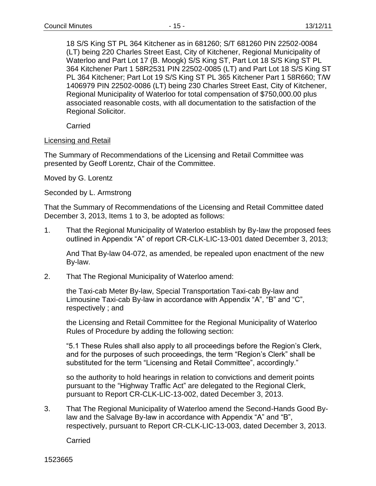18 S/S King ST PL 364 Kitchener as in 681260; S/T 681260 PIN 22502-0084 (LT) being 220 Charles Street East, City of Kitchener, Regional Municipality of Waterloo and Part Lot 17 (B. Moogk) S/S King ST, Part Lot 18 S/S King ST PL 364 Kitchener Part 1 58R2531 PIN 22502-0085 (LT) and Part Lot 18 S/S King ST PL 364 Kitchener; Part Lot 19 S/S King ST PL 365 Kitchener Part 1 58R660; T/W 1406979 PIN 22502-0086 (LT) being 230 Charles Street East, City of Kitchener, Regional Municipality of Waterloo for total compensation of \$750,000.00 plus associated reasonable costs, with all documentation to the satisfaction of the Regional *S*olicitor.

Carried

#### Licensing and Retail

The Summary of Recommendations of the Licensing and Retail Committee was presented by Geoff Lorentz, Chair of the Committee.

Moved by G. Lorentz

Seconded by L. Armstrong

That the Summary of Recommendations of the Licensing and Retail Committee dated December 3, 2013, Items 1 to 3, be adopted as follows:

1. That the Regional Municipality of Waterloo establish by By-law the proposed fees outlined in Appendix "A" of report CR-CLK-LIC-13-001 dated December 3, 2013;

And That By-law 04-072, as amended, be repealed upon enactment of the new By-law.

2. That The Regional Municipality of Waterloo amend:

the Taxi-cab Meter By-law, Special Transportation Taxi-cab By-law and Limousine Taxi-cab By-law in accordance with Appendix "A", "B" and "C", respectively ; and

the Licensing and Retail Committee for the Regional Municipality of Waterloo Rules of Procedure by adding the following section:

"5.1 These Rules shall also apply to all proceedings before the Region's Clerk, and for the purposes of such proceedings, the term "Region's Clerk" shall be substituted for the term "Licensing and Retail Committee", accordingly."

so the authority to hold hearings in relation to convictions and demerit points pursuant to the "Highway Traffic Act" are delegated to the Regional Clerk, pursuant to Report CR-CLK-LIC-13-002, dated December 3, 2013.

3. That The Regional Municipality of Waterloo amend the Second-Hands Good Bylaw and the Salvage By-law in accordance with Appendix "A" and "B", respectively, pursuant to Report CR-CLK-LIC-13-003, dated December 3, 2013.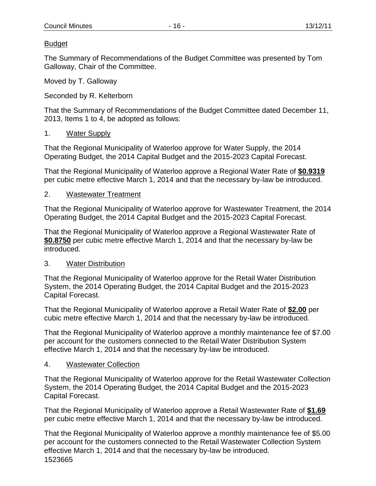## Budget

The Summary of Recommendations of the Budget Committee was presented by Tom Galloway, Chair of the Committee.

Moved by T. Galloway

Seconded by R. Kelterborn

That the Summary of Recommendations of the Budget Committee dated December 11, 2013, Items 1 to 4, be adopted as follows:

### 1. Water Supply

That the Regional Municipality of Waterloo approve for Water Supply, the 2014 Operating Budget, the 2014 Capital Budget and the 2015-2023 Capital Forecast.

That the Regional Municipality of Waterloo approve a Regional Water Rate of **\$0.9319** per cubic metre effective March 1, 2014 and that the necessary by-law be introduced.

### 2. Wastewater Treatment

That the Regional Municipality of Waterloo approve for Wastewater Treatment, the 2014 Operating Budget, the 2014 Capital Budget and the 2015-2023 Capital Forecast.

That the Regional Municipality of Waterloo approve a Regional Wastewater Rate of **\$0.8750** per cubic metre effective March 1, 2014 and that the necessary by-law be introduced.

### 3. Water Distribution

That the Regional Municipality of Waterloo approve for the Retail Water Distribution System, the 2014 Operating Budget, the 2014 Capital Budget and the 2015-2023 Capital Forecast.

That the Regional Municipality of Waterloo approve a Retail Water Rate of **\$2.00** per cubic metre effective March 1, 2014 and that the necessary by-law be introduced.

That the Regional Municipality of Waterloo approve a monthly maintenance fee of \$7.00 per account for the customers connected to the Retail Water Distribution System effective March 1, 2014 and that the necessary by-law be introduced.

#### 4. Wastewater Collection

That the Regional Municipality of Waterloo approve for the Retail Wastewater Collection System, the 2014 Operating Budget, the 2014 Capital Budget and the 2015-2023 Capital Forecast.

That the Regional Municipality of Waterloo approve a Retail Wastewater Rate of **\$1.69** per cubic metre effective March 1, 2014 and that the necessary by-law be introduced.

1523665 That the Regional Municipality of Waterloo approve a monthly maintenance fee of \$5.00 per account for the customers connected to the Retail Wastewater Collection System effective March 1, 2014 and that the necessary by-law be introduced.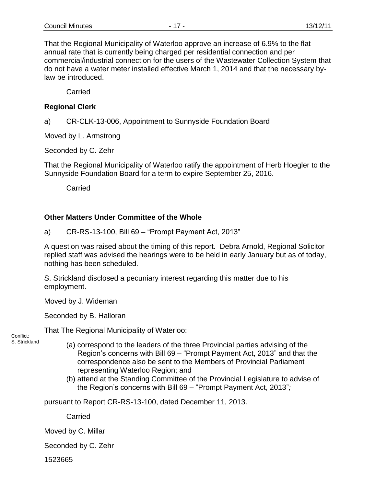That the Regional Municipality of Waterloo approve an increase of 6.9% to the flat annual rate that is currently being charged per residential connection and per commercial/industrial connection for the users of the Wastewater Collection System that do not have a water meter installed effective March 1, 2014 and that the necessary bylaw be introduced.

**Carried** 

### **Regional Clerk**

a) CR-CLK-13-006, Appointment to Sunnyside Foundation Board

Moved by L. Armstrong

Seconded by C. Zehr

That the Regional Municipality of Waterloo ratify the appointment of Herb Hoegler to the Sunnyside Foundation Board for a term to expire September 25, 2016.

**Carried** 

### **Other Matters Under Committee of the Whole**

a) CR-RS-13-100, Bill 69 – "Prompt Payment Act, 2013"

A question was raised about the timing of this report. Debra Arnold, Regional Solicitor replied staff was advised the hearings were to be held in early January but as of today, nothing has been scheduled.

S. Strickland disclosed a pecuniary interest regarding this matter due to his employment.

Moved by J. Wideman

Seconded by B. Halloran

That The Regional Municipality of Waterloo:

Conflict: S. Strickland

- (a) correspond to the leaders of the three Provincial parties advising of the Region's concerns with Bill 69 – "Prompt Payment Act, 2013" and that the correspondence also be sent to the Members of Provincial Parliament representing Waterloo Region; and
- (b) attend at the Standing Committee of the Provincial Legislature to advise of the Region's concerns with Bill 69 – "Prompt Payment Act, 2013"*;*

pursuant to Report CR-RS-13-100, dated December 11, 2013.

**Carried** 

Moved by C. Millar

Seconded by C. Zehr

1523665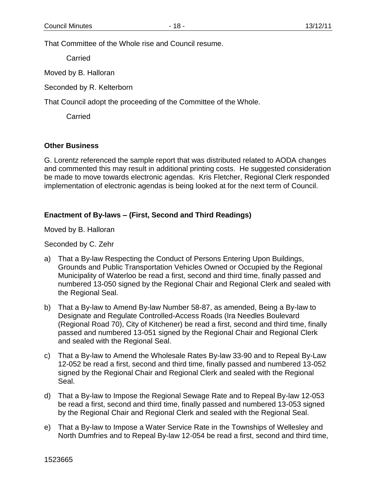That Committee of the Whole rise and Council resume.

Carried

Moved by B. Halloran

Seconded by R. Kelterborn

That Council adopt the proceeding of the Committee of the Whole.

**Carried** 

#### **Other Business**

G. Lorentz referenced the sample report that was distributed related to AODA changes and commented this may result in additional printing costs. He suggested consideration be made to move towards electronic agendas. Kris Fletcher, Regional Clerk responded implementation of electronic agendas is being looked at for the next term of Council.

### **Enactment of By-laws – (First, Second and Third Readings)**

Moved by B. Halloran

Seconded by C. Zehr

- a) That a By-law Respecting the Conduct of Persons Entering Upon Buildings, Grounds and Public Transportation Vehicles Owned or Occupied by the Regional Municipality of Waterloo be read a first, second and third time, finally passed and numbered 13-050 signed by the Regional Chair and Regional Clerk and sealed with the Regional Seal.
- b) That a By-law to Amend By-law Number 58-87, as amended, Being a By-law to Designate and Regulate Controlled-Access Roads (Ira Needles Boulevard (Regional Road 70), City of Kitchener) be read a first, second and third time, finally passed and numbered 13-051 signed by the Regional Chair and Regional Clerk and sealed with the Regional Seal.
- c) That a By-law to Amend the Wholesale Rates By-law 33-90 and to Repeal By-Law 12-052 be read a first, second and third time, finally passed and numbered 13-052 signed by the Regional Chair and Regional Clerk and sealed with the Regional Seal.
- d) That a By-law to Impose the Regional Sewage Rate and to Repeal By-law 12-053 be read a first, second and third time, finally passed and numbered 13-053 signed by the Regional Chair and Regional Clerk and sealed with the Regional Seal.
- e) That a By-law to Impose a Water Service Rate in the Townships of Wellesley and North Dumfries and to Repeal By-law 12-054 be read a first, second and third time,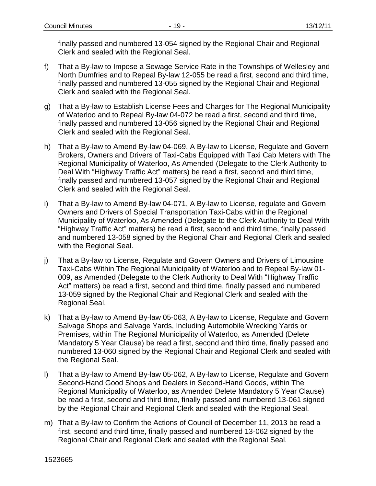finally passed and numbered 13-054 signed by the Regional Chair and Regional Clerk and sealed with the Regional Seal.

- f) That a By-law to Impose a Sewage Service Rate in the Townships of Wellesley and North Dumfries and to Repeal By-law 12-055 be read a first, second and third time, finally passed and numbered 13-055 signed by the Regional Chair and Regional Clerk and sealed with the Regional Seal.
- g) That a By-law to Establish License Fees and Charges for The Regional Municipality of Waterloo and to Repeal By-law 04-072 be read a first, second and third time, finally passed and numbered 13-056 signed by the Regional Chair and Regional Clerk and sealed with the Regional Seal.
- h) That a By-law to Amend By-law 04-069, A By-law to License, Regulate and Govern Brokers, Owners and Drivers of Taxi-Cabs Equipped with Taxi Cab Meters with The Regional Municipality of Waterloo, As Amended (Delegate to the Clerk Authority to Deal With "Highway Traffic Act" matters) be read a first, second and third time, finally passed and numbered 13-057 signed by the Regional Chair and Regional Clerk and sealed with the Regional Seal.
- i) That a By-law to Amend By-law 04-071, A By-law to License, regulate and Govern Owners and Drivers of Special Transportation Taxi-Cabs within the Regional Municipality of Waterloo, As Amended (Delegate to the Clerk Authority to Deal With "Highway Traffic Act" matters) be read a first, second and third time, finally passed and numbered 13-058 signed by the Regional Chair and Regional Clerk and sealed with the Regional Seal.
- j) That a By-law to License, Regulate and Govern Owners and Drivers of Limousine Taxi-Cabs Within The Regional Municipality of Waterloo and to Repeal By-law 01- 009, as Amended (Delegate to the Clerk Authority to Deal With "Highway Traffic Act" matters) be read a first, second and third time, finally passed and numbered 13-059 signed by the Regional Chair and Regional Clerk and sealed with the Regional Seal.
- k) That a By-law to Amend By-law 05-063, A By-law to License, Regulate and Govern Salvage Shops and Salvage Yards, Including Automobile Wrecking Yards or Premises, within The Regional Municipality of Waterloo, as Amended (Delete Mandatory 5 Year Clause) be read a first, second and third time, finally passed and numbered 13-060 signed by the Regional Chair and Regional Clerk and sealed with the Regional Seal.
- l) That a By-law to Amend By-law 05-062, A By-law to License, Regulate and Govern Second-Hand Good Shops and Dealers in Second-Hand Goods, within The Regional Municipality of Waterloo, as Amended Delete Mandatory 5 Year Clause) be read a first, second and third time, finally passed and numbered 13-061 signed by the Regional Chair and Regional Clerk and sealed with the Regional Seal.
- m) That a By-law to Confirm the Actions of Council of December 11, 2013 be read a first, second and third time, finally passed and numbered 13-062 signed by the Regional Chair and Regional Clerk and sealed with the Regional Seal.